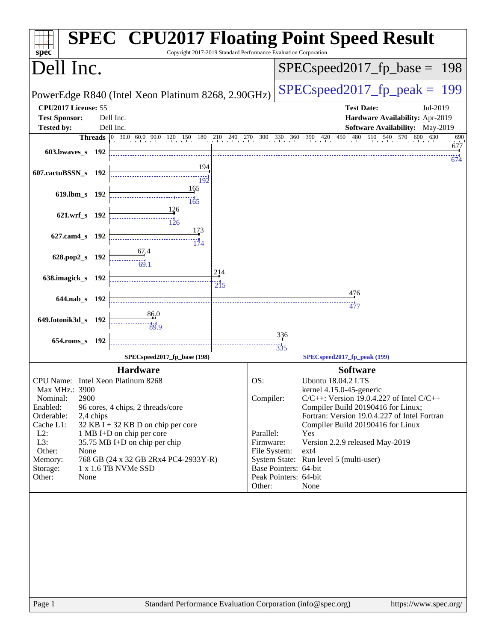| spec <sup>®</sup>                                                                                                                                     |                                                                                                                                                                                                                                                                              | Copyright 2017-2019 Standard Performance Evaluation Corporation      | <b>SPEC<sup>®</sup> CPU2017 Floating Point Speed Result</b>                                                                                                                                                                                                                                                                                                                                                |
|-------------------------------------------------------------------------------------------------------------------------------------------------------|------------------------------------------------------------------------------------------------------------------------------------------------------------------------------------------------------------------------------------------------------------------------------|----------------------------------------------------------------------|------------------------------------------------------------------------------------------------------------------------------------------------------------------------------------------------------------------------------------------------------------------------------------------------------------------------------------------------------------------------------------------------------------|
| Dell Inc.                                                                                                                                             |                                                                                                                                                                                                                                                                              |                                                                      | $SPEC speed2017_fp\_base =$<br>198                                                                                                                                                                                                                                                                                                                                                                         |
|                                                                                                                                                       | PowerEdge R840 (Intel Xeon Platinum 8268, 2.90GHz)                                                                                                                                                                                                                           |                                                                      | $SPEC speed2017_fp_peak = 199$                                                                                                                                                                                                                                                                                                                                                                             |
| CPU2017 License: 55<br><b>Test Sponsor:</b>                                                                                                           | Dell Inc.                                                                                                                                                                                                                                                                    |                                                                      | <b>Test Date:</b><br>Jul-2019<br>Hardware Availability: Apr-2019                                                                                                                                                                                                                                                                                                                                           |
| <b>Tested by:</b>                                                                                                                                     | Dell Inc.                                                                                                                                                                                                                                                                    |                                                                      | Software Availability: May-2019                                                                                                                                                                                                                                                                                                                                                                            |
| 603.bwayes s 192                                                                                                                                      |                                                                                                                                                                                                                                                                              |                                                                      | Threads 0 30.0 60.0 90.0 120 150 180 210 240 270 300 330 360 390 420 450 480 510 540 570 600 630<br>690<br>677                                                                                                                                                                                                                                                                                             |
| 607.cactuBSSN_s 192                                                                                                                                   | 194                                                                                                                                                                                                                                                                          |                                                                      | $\overline{674}$                                                                                                                                                                                                                                                                                                                                                                                           |
| 619.lbm s 192                                                                                                                                         | 192<br>165<br>165                                                                                                                                                                                                                                                            |                                                                      |                                                                                                                                                                                                                                                                                                                                                                                                            |
| 621.wrf_s 192                                                                                                                                         | 126                                                                                                                                                                                                                                                                          |                                                                      |                                                                                                                                                                                                                                                                                                                                                                                                            |
| 627.cam4 s 192                                                                                                                                        | 173                                                                                                                                                                                                                                                                          |                                                                      |                                                                                                                                                                                                                                                                                                                                                                                                            |
| 628.pop2_s 192                                                                                                                                        | 69.1                                                                                                                                                                                                                                                                         |                                                                      |                                                                                                                                                                                                                                                                                                                                                                                                            |
| 638.imagick_s 192                                                                                                                                     |                                                                                                                                                                                                                                                                              | 214<br>$\overline{2}$ <sup>1</sup> 5                                 |                                                                                                                                                                                                                                                                                                                                                                                                            |
| 644.nab s 192                                                                                                                                         |                                                                                                                                                                                                                                                                              |                                                                      | 476<br>።<br>477                                                                                                                                                                                                                                                                                                                                                                                            |
| 649.fotonik3d_s 192                                                                                                                                   | 86.0<br>89.9                                                                                                                                                                                                                                                                 |                                                                      |                                                                                                                                                                                                                                                                                                                                                                                                            |
| $654$ .roms_s                                                                                                                                         | - 192                                                                                                                                                                                                                                                                        |                                                                      | 336                                                                                                                                                                                                                                                                                                                                                                                                        |
|                                                                                                                                                       | SPECspeed2017_fp_base (198)                                                                                                                                                                                                                                                  |                                                                      | $\frac{11}{335}$<br>SPECspeed2017_fp_peak (199)                                                                                                                                                                                                                                                                                                                                                            |
| Max MHz.: 3900<br>2900<br>Nominal:<br>Enabled:<br>Orderable:<br>Cache L1:<br>$L2$ :<br>L3:<br>Other:<br>None<br>Memory:<br>Storage:<br>Other:<br>None | <b>Hardware</b><br>CPU Name: Intel Xeon Platinum 8268<br>96 cores, 4 chips, 2 threads/core<br>2,4 chips<br>$32$ KB I + 32 KB D on chip per core<br>1 MB I+D on chip per core<br>35.75 MB I+D on chip per chip<br>768 GB (24 x 32 GB 2Rx4 PC4-2933Y-R)<br>1 x 1.6 TB NVMe SSD | OS:<br>Compiler:<br>Parallel:<br>Firmware:<br>File System:<br>Other: | <b>Software</b><br><b>Ubuntu 18.04.2 LTS</b><br>kernel 4.15.0-45-generic<br>$C/C++$ : Version 19.0.4.227 of Intel $C/C++$<br>Compiler Build 20190416 for Linux;<br>Fortran: Version 19.0.4.227 of Intel Fortran<br>Compiler Build 20190416 for Linux<br>Yes<br>Version 2.2.9 released May-2019<br>ext4<br>System State: Run level 5 (multi-user)<br>Base Pointers: 64-bit<br>Peak Pointers: 64-bit<br>None |
| Page 1                                                                                                                                                |                                                                                                                                                                                                                                                                              |                                                                      | Standard Performance Evaluation Corporation (info@spec.org)<br>https://www.spec.org/                                                                                                                                                                                                                                                                                                                       |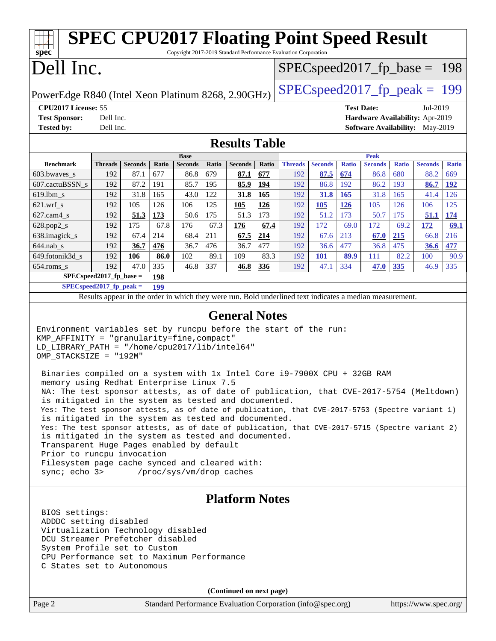| $spec^*$                                                                                                                                                                                                                                                                                                                                                                                                                                                                                                                                                                                                                                                                                                                                                                                                                                                                                                                                                                                                            |                             |                |             |             |            |                      |             | <b>SPEC CPU2017 Floating Point Speed Result</b><br>Copyright 2017-2019 Standard Performance Evaluation Corporation |                    |              |                   |              |                                        |              |
|---------------------------------------------------------------------------------------------------------------------------------------------------------------------------------------------------------------------------------------------------------------------------------------------------------------------------------------------------------------------------------------------------------------------------------------------------------------------------------------------------------------------------------------------------------------------------------------------------------------------------------------------------------------------------------------------------------------------------------------------------------------------------------------------------------------------------------------------------------------------------------------------------------------------------------------------------------------------------------------------------------------------|-----------------------------|----------------|-------------|-------------|------------|----------------------|-------------|--------------------------------------------------------------------------------------------------------------------|--------------------|--------------|-------------------|--------------|----------------------------------------|--------------|
| Dell Inc.                                                                                                                                                                                                                                                                                                                                                                                                                                                                                                                                                                                                                                                                                                                                                                                                                                                                                                                                                                                                           |                             |                |             |             |            |                      |             | $SPEC speed2017_fp\_base = 198$                                                                                    |                    |              |                   |              |                                        |              |
| PowerEdge R840 (Intel Xeon Platinum 8268, 2.90GHz)                                                                                                                                                                                                                                                                                                                                                                                                                                                                                                                                                                                                                                                                                                                                                                                                                                                                                                                                                                  |                             |                |             |             |            |                      |             | $SPEC speed2017_fp\_peak = 199$                                                                                    |                    |              |                   |              |                                        |              |
| CPU2017 License: 55                                                                                                                                                                                                                                                                                                                                                                                                                                                                                                                                                                                                                                                                                                                                                                                                                                                                                                                                                                                                 |                             |                |             |             |            |                      |             |                                                                                                                    |                    |              | <b>Test Date:</b> |              | Jul-2019                               |              |
| <b>Test Sponsor:</b>                                                                                                                                                                                                                                                                                                                                                                                                                                                                                                                                                                                                                                                                                                                                                                                                                                                                                                                                                                                                | Dell Inc.                   |                |             |             |            |                      |             |                                                                                                                    |                    |              |                   |              | Hardware Availability: Apr-2019        |              |
| <b>Tested by:</b>                                                                                                                                                                                                                                                                                                                                                                                                                                                                                                                                                                                                                                                                                                                                                                                                                                                                                                                                                                                                   | Dell Inc.                   |                |             |             |            |                      |             |                                                                                                                    |                    |              |                   |              | <b>Software Availability:</b> May-2019 |              |
|                                                                                                                                                                                                                                                                                                                                                                                                                                                                                                                                                                                                                                                                                                                                                                                                                                                                                                                                                                                                                     |                             |                |             |             |            | <b>Results Table</b> |             |                                                                                                                    |                    |              |                   |              |                                        |              |
|                                                                                                                                                                                                                                                                                                                                                                                                                                                                                                                                                                                                                                                                                                                                                                                                                                                                                                                                                                                                                     |                             |                |             | <b>Base</b> |            |                      |             |                                                                                                                    |                    |              | <b>Peak</b>       |              |                                        |              |
| <b>Benchmark</b>                                                                                                                                                                                                                                                                                                                                                                                                                                                                                                                                                                                                                                                                                                                                                                                                                                                                                                                                                                                                    | Threads                     | <b>Seconds</b> | Ratio       | Seconds     | Ratio      | <b>Seconds</b>       | Ratio       | <b>Threads</b>                                                                                                     | <b>Seconds</b>     | <b>Ratio</b> | <b>Seconds</b>    | <b>Ratio</b> | <b>Seconds</b>                         | <b>Ratio</b> |
| 603.bwaves_s                                                                                                                                                                                                                                                                                                                                                                                                                                                                                                                                                                                                                                                                                                                                                                                                                                                                                                                                                                                                        | 192                         | 87.1           | 677         | 86.8        | 679        | 87.1                 | 677         | 192                                                                                                                | 87.5               | 674          | 86.8              | 680          | 88.2                                   | 669          |
| 607.cactuBSSN_s                                                                                                                                                                                                                                                                                                                                                                                                                                                                                                                                                                                                                                                                                                                                                                                                                                                                                                                                                                                                     | 192                         | 87.2           | 191         | 85.7        | 195        | 85.9                 | 194         | 192                                                                                                                | 86.8               | 192          | 86.2              | 193          | 86.7                                   | <b>192</b>   |
| 619.lbm_s                                                                                                                                                                                                                                                                                                                                                                                                                                                                                                                                                                                                                                                                                                                                                                                                                                                                                                                                                                                                           | 192                         | 31.8           | 165         | 43.0        | 122        | 31.8                 | 165         | 192                                                                                                                | <b>31.8</b>        | <b>165</b>   | 31.8              | 165          | 41.4                                   | 126          |
| $621.wrf$ s                                                                                                                                                                                                                                                                                                                                                                                                                                                                                                                                                                                                                                                                                                                                                                                                                                                                                                                                                                                                         | 192                         | 105            | 126         | 106         | 125        | 105                  | 126         | 192                                                                                                                | <b>105</b>         | <b>126</b>   | 105               | 126          | 106                                    | 125          |
| $627$ .cam $4$ <sub>s</sub>                                                                                                                                                                                                                                                                                                                                                                                                                                                                                                                                                                                                                                                                                                                                                                                                                                                                                                                                                                                         | 192                         | 51.3           | 173         | 50.6        | 175        | 51.3                 | 173         | 192                                                                                                                | 51.2               | 173          | 50.7              | 175          | 51.1                                   | 174          |
| 628.pop2_s                                                                                                                                                                                                                                                                                                                                                                                                                                                                                                                                                                                                                                                                                                                                                                                                                                                                                                                                                                                                          | 192                         | 175            | 67.8        | 176         | 67.3       | 176                  | 67.4        | 192                                                                                                                | 172                | 69.0         | 172               | 69.2         | 172                                    | 69.1         |
| 638.imagick_s                                                                                                                                                                                                                                                                                                                                                                                                                                                                                                                                                                                                                                                                                                                                                                                                                                                                                                                                                                                                       | 192                         | 67.4           | 214         | 68.4        | 211<br>476 | 67.5                 | 214         | 192                                                                                                                | 67.6               | 213          | 67.0              | 215          | 66.8                                   | 216          |
| $644.nab$ <sub>s</sub>                                                                                                                                                                                                                                                                                                                                                                                                                                                                                                                                                                                                                                                                                                                                                                                                                                                                                                                                                                                              | 192<br>192                  | 36.7           | 476<br>86.0 | 36.7<br>102 | 89.1       | 36.7<br>109          | 477<br>83.3 | 192<br>192                                                                                                         | 36.6               | 477<br>89.9  | 36.8<br>111       | 475<br>82.2  | <b>36.6</b><br>100                     | 477<br>90.9  |
| 649.fotonik3d_s<br>$654$ .roms_s                                                                                                                                                                                                                                                                                                                                                                                                                                                                                                                                                                                                                                                                                                                                                                                                                                                                                                                                                                                    | 192                         | 106<br>47.0    | 335         | 46.8        | 337        | 46.8                 | 336         | 192                                                                                                                | <b>101</b><br>47.1 | 334          | 47.0              | <b>335</b>   | 46.9                                   | 335          |
|                                                                                                                                                                                                                                                                                                                                                                                                                                                                                                                                                                                                                                                                                                                                                                                                                                                                                                                                                                                                                     | $SPEC speed2017_fp\_base =$ |                | 198         |             |            |                      |             |                                                                                                                    |                    |              |                   |              |                                        |              |
|                                                                                                                                                                                                                                                                                                                                                                                                                                                                                                                                                                                                                                                                                                                                                                                                                                                                                                                                                                                                                     | $SPEC speed2017_fp_peak =$  |                | 199         |             |            |                      |             |                                                                                                                    |                    |              |                   |              |                                        |              |
|                                                                                                                                                                                                                                                                                                                                                                                                                                                                                                                                                                                                                                                                                                                                                                                                                                                                                                                                                                                                                     |                             |                |             |             |            |                      |             | Results appear in the order in which they were run. Bold underlined text indicates a median measurement.           |                    |              |                   |              |                                        |              |
|                                                                                                                                                                                                                                                                                                                                                                                                                                                                                                                                                                                                                                                                                                                                                                                                                                                                                                                                                                                                                     |                             |                |             |             |            |                      |             |                                                                                                                    |                    |              |                   |              |                                        |              |
| <b>General Notes</b><br>Environment variables set by runcpu before the start of the run:<br>KMP_AFFINITY = "granularity=fine, compact"<br>LD_LIBRARY_PATH = "/home/cpu2017/lib/intel64"<br>OMP_STACKSIZE = "192M"<br>Binaries compiled on a system with 1x Intel Core i9-7900X CPU + 32GB RAM<br>memory using Redhat Enterprise Linux 7.5<br>NA: The test sponsor attests, as of date of publication, that CVE-2017-5754 (Meltdown)<br>is mitigated in the system as tested and documented.<br>Yes: The test sponsor attests, as of date of publication, that CVE-2017-5753 (Spectre variant 1)<br>is mitigated in the system as tested and documented.<br>Yes: The test sponsor attests, as of date of publication, that CVE-2017-5715 (Spectre variant 2)<br>is mitigated in the system as tested and documented.<br>Transparent Huge Pages enabled by default<br>Prior to runcpu invocation<br>Filesystem page cache synced and cleared with:<br>sync: echo 3> /proc/sys/vm/drop_caches<br><b>Platform Notes</b> |                             |                |             |             |            |                      |             |                                                                                                                    |                    |              |                   |              |                                        |              |
| BIOS settings:<br>ADDDC setting disabled<br>Virtualization Technology disabled<br>DCU Streamer Prefetcher disabled<br>System Profile set to Custom<br>CPU Performance set to Maximum Performance<br>C States set to Autonomous<br>(Continued on next page)                                                                                                                                                                                                                                                                                                                                                                                                                                                                                                                                                                                                                                                                                                                                                          |                             |                |             |             |            |                      |             |                                                                                                                    |                    |              |                   |              |                                        |              |
| Page 2                                                                                                                                                                                                                                                                                                                                                                                                                                                                                                                                                                                                                                                                                                                                                                                                                                                                                                                                                                                                              |                             |                |             |             |            |                      |             | Standard Performance Evaluation Corporation (info@spec.org)                                                        |                    |              |                   |              | https://www.spec.org/                  |              |
|                                                                                                                                                                                                                                                                                                                                                                                                                                                                                                                                                                                                                                                                                                                                                                                                                                                                                                                                                                                                                     |                             |                |             |             |            |                      |             |                                                                                                                    |                    |              |                   |              |                                        |              |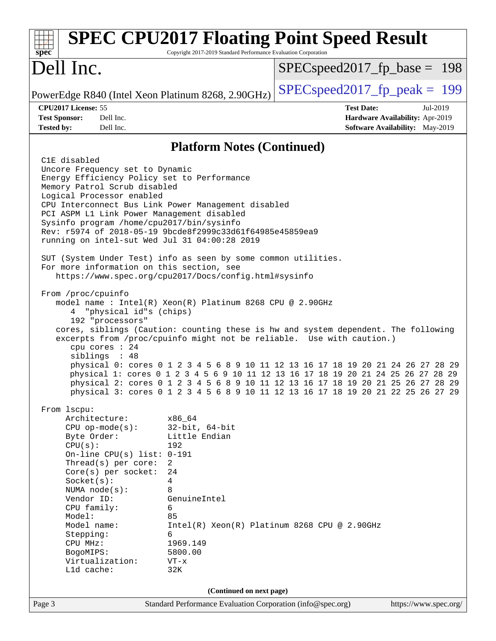| Dell Inc.<br>PowerEdge R840 (Intel Xeon Platinum 8268, 2.90GHz)<br>CPU2017 License: 55<br><b>Test Date:</b><br>Jul-2019<br><b>Test Sponsor:</b><br>Dell Inc.<br>Hardware Availability: Apr-2019<br><b>Tested by:</b><br>Dell Inc.<br><b>Software Availability:</b> May-2019<br><b>Platform Notes (Continued)</b><br>C1E disabled<br>Uncore Frequency set to Dynamic<br>Energy Efficiency Policy set to Performance<br>Memory Patrol Scrub disabled<br>Logical Processor enabled<br>CPU Interconnect Bus Link Power Management disabled<br>PCI ASPM L1 Link Power Management disabled<br>Sysinfo program /home/cpu2017/bin/sysinfo<br>Rev: r5974 of 2018-05-19 9bcde8f2999c33d61f64985e45859ea9<br>running on intel-sut Wed Jul 31 04:00:28 2019<br>SUT (System Under Test) info as seen by some common utilities.<br>For more information on this section, see<br>https://www.spec.org/cpu2017/Docs/config.html#sysinfo<br>From /proc/cpuinfo<br>model name: Intel(R) Xeon(R) Platinum 8268 CPU @ 2.90GHz<br>"physical id"s (chips)<br>4<br>192 "processors"<br>cores, siblings (Caution: counting these is hw and system dependent. The following<br>excerpts from /proc/cpuinfo might not be reliable. Use with caution.)<br>cpu cores : 24<br>siblings : 48<br>physical 0: cores 0 1 2 3 4 5 6 8 9 10 11 12 13 16 17 18 19 20 21 24 26 27 28 29<br>physical 1: cores 0 1 2 3 4 5 6 9 10 11 12 13 16 17 18 19 20 21 24 25 26 27 28 29<br>physical 2: cores 0 1 2 3 4 5 6 8 9 10 11 12 13 16 17 18 19 20 21 25 26 27 28 29<br>physical 3: cores 0 1 2 3 4 5 6 8 9 10 11 12 13 16 17 18 19 20 21 22 25 26 27 29<br>From 1scpu:<br>Architecture:<br>x86_64<br>$32$ -bit, $64$ -bit<br>$CPU$ op-mode(s):<br>Byte Order:<br>Little Endian<br>CPU(s):<br>192<br>On-line CPU(s) list: $0-191$<br>Thread(s) per core:<br>$\overline{2}$<br>$Core(s)$ per socket:<br>24<br>Socket(s):<br>4<br>NUMA node(s):<br>8<br>Vendor ID:<br>GenuineIntel<br>CPU family:<br>6<br>Model:<br>85<br>Model name:<br>Intel(R) Xeon(R) Platinum 8268 CPU @ 2.90GHz<br>Stepping:<br>6<br>1969.149<br>CPU MHz:<br>5800.00<br>BogoMIPS:<br>Virtualization:<br>$VT - x$<br>L1d cache:<br>32K | <b>SPEC CPU2017 Floating Point Speed Result</b><br>Copyright 2017-2019 Standard Performance Evaluation Corporation<br>$spec^*$ |                                 |
|------------------------------------------------------------------------------------------------------------------------------------------------------------------------------------------------------------------------------------------------------------------------------------------------------------------------------------------------------------------------------------------------------------------------------------------------------------------------------------------------------------------------------------------------------------------------------------------------------------------------------------------------------------------------------------------------------------------------------------------------------------------------------------------------------------------------------------------------------------------------------------------------------------------------------------------------------------------------------------------------------------------------------------------------------------------------------------------------------------------------------------------------------------------------------------------------------------------------------------------------------------------------------------------------------------------------------------------------------------------------------------------------------------------------------------------------------------------------------------------------------------------------------------------------------------------------------------------------------------------------------------------------------------------------------------------------------------------------------------------------------------------------------------------------------------------------------------------------------------------------------------------------------------------------------------------------------------------------------------------------------------------------------------------------------------------------------------------------------------------------------------------------------------------|--------------------------------------------------------------------------------------------------------------------------------|---------------------------------|
|                                                                                                                                                                                                                                                                                                                                                                                                                                                                                                                                                                                                                                                                                                                                                                                                                                                                                                                                                                                                                                                                                                                                                                                                                                                                                                                                                                                                                                                                                                                                                                                                                                                                                                                                                                                                                                                                                                                                                                                                                                                                                                                                                                  |                                                                                                                                | $SPEC speed2017_fp\_base = 198$ |
|                                                                                                                                                                                                                                                                                                                                                                                                                                                                                                                                                                                                                                                                                                                                                                                                                                                                                                                                                                                                                                                                                                                                                                                                                                                                                                                                                                                                                                                                                                                                                                                                                                                                                                                                                                                                                                                                                                                                                                                                                                                                                                                                                                  |                                                                                                                                | $SPEC speed2017_fp\_peak = 199$ |
|                                                                                                                                                                                                                                                                                                                                                                                                                                                                                                                                                                                                                                                                                                                                                                                                                                                                                                                                                                                                                                                                                                                                                                                                                                                                                                                                                                                                                                                                                                                                                                                                                                                                                                                                                                                                                                                                                                                                                                                                                                                                                                                                                                  |                                                                                                                                |                                 |
|                                                                                                                                                                                                                                                                                                                                                                                                                                                                                                                                                                                                                                                                                                                                                                                                                                                                                                                                                                                                                                                                                                                                                                                                                                                                                                                                                                                                                                                                                                                                                                                                                                                                                                                                                                                                                                                                                                                                                                                                                                                                                                                                                                  |                                                                                                                                |                                 |
|                                                                                                                                                                                                                                                                                                                                                                                                                                                                                                                                                                                                                                                                                                                                                                                                                                                                                                                                                                                                                                                                                                                                                                                                                                                                                                                                                                                                                                                                                                                                                                                                                                                                                                                                                                                                                                                                                                                                                                                                                                                                                                                                                                  |                                                                                                                                |                                 |
|                                                                                                                                                                                                                                                                                                                                                                                                                                                                                                                                                                                                                                                                                                                                                                                                                                                                                                                                                                                                                                                                                                                                                                                                                                                                                                                                                                                                                                                                                                                                                                                                                                                                                                                                                                                                                                                                                                                                                                                                                                                                                                                                                                  |                                                                                                                                |                                 |
| (Continued on next page)                                                                                                                                                                                                                                                                                                                                                                                                                                                                                                                                                                                                                                                                                                                                                                                                                                                                                                                                                                                                                                                                                                                                                                                                                                                                                                                                                                                                                                                                                                                                                                                                                                                                                                                                                                                                                                                                                                                                                                                                                                                                                                                                         |                                                                                                                                |                                 |
| Page 3<br>Standard Performance Evaluation Corporation (info@spec.org)                                                                                                                                                                                                                                                                                                                                                                                                                                                                                                                                                                                                                                                                                                                                                                                                                                                                                                                                                                                                                                                                                                                                                                                                                                                                                                                                                                                                                                                                                                                                                                                                                                                                                                                                                                                                                                                                                                                                                                                                                                                                                            |                                                                                                                                | https://www.spec.org/           |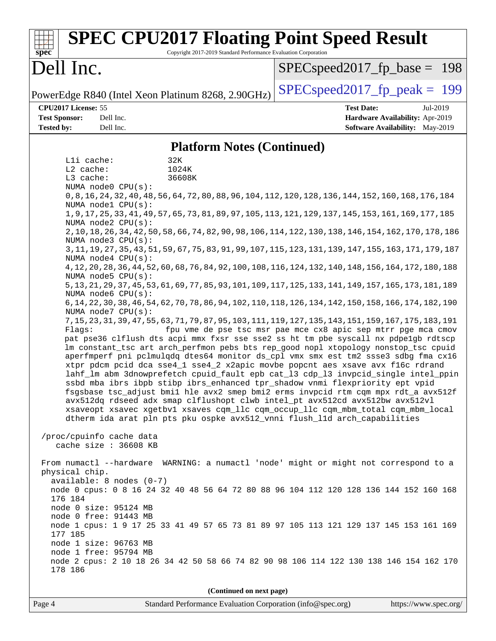| <b>SPEC CPU2017 Floating Point Speed Result</b><br>Copyright 2017-2019 Standard Performance Evaluation Corporation<br>$spec^*$                                      |                                                               |
|---------------------------------------------------------------------------------------------------------------------------------------------------------------------|---------------------------------------------------------------|
| Dell Inc.                                                                                                                                                           | $SPEC speed2017_fp\_base = 198$                               |
| PowerEdge R840 (Intel Xeon Platinum 8268, 2.90GHz)                                                                                                                  | $SPEC speed2017fr peak = 199$                                 |
| CPU2017 License: 55                                                                                                                                                 | <b>Test Date:</b><br>Jul-2019                                 |
| <b>Test Sponsor:</b><br>Dell Inc.                                                                                                                                   | Hardware Availability: Apr-2019                               |
| <b>Tested by:</b><br>Dell Inc.                                                                                                                                      | <b>Software Availability:</b> May-2019                        |
| <b>Platform Notes (Continued)</b>                                                                                                                                   |                                                               |
| Lli cache:                                                                                                                                                          |                                                               |
| 32K<br>L2 cache:<br>1024K                                                                                                                                           |                                                               |
| L3 cache:<br>36608K                                                                                                                                                 |                                                               |
| NUMA node0 CPU(s):                                                                                                                                                  |                                                               |
| 0,8,16,24,32,40,48,56,64,72,80,88,96,104,112,120,128,136,144,152,160,168,176,184<br>NUMA nodel CPU(s):                                                              |                                                               |
| 1, 9, 17, 25, 33, 41, 49, 57, 65, 73, 81, 89, 97, 105, 113, 121, 129, 137, 145, 153, 161, 169, 177, 185                                                             |                                                               |
| NUMA node2 CPU(s):                                                                                                                                                  |                                                               |
| 2, 10, 18, 26, 34, 42, 50, 58, 66, 74, 82, 90, 98, 106, 114, 122, 130, 138, 146, 154, 162, 170, 178, 186                                                            |                                                               |
| NUMA node3 CPU(s):<br>3, 11, 19, 27, 35, 43, 51, 59, 67, 75, 83, 91, 99, 107, 115, 123, 131, 139, 147, 155, 163, 171, 179, 187                                      |                                                               |
| NUMA node4 CPU(s):                                                                                                                                                  |                                                               |
| 4, 12, 20, 28, 36, 44, 52, 60, 68, 76, 84, 92, 100, 108, 116, 124, 132, 140, 148, 156, 164, 172, 180, 188                                                           |                                                               |
| NUMA node5 CPU(s):<br>5, 13, 21, 29, 37, 45, 53, 61, 69, 77, 85, 93, 101, 109, 117, 125, 133, 141, 149, 157, 165, 173, 181, 189                                     |                                                               |
| NUMA node6 CPU(s):                                                                                                                                                  |                                                               |
| 6, 14, 22, 30, 38, 46, 54, 62, 70, 78, 86, 94, 102, 110, 118, 126, 134, 142, 150, 158, 166, 174, 182, 190                                                           |                                                               |
| NUMA node7 CPU(s):                                                                                                                                                  |                                                               |
| 7, 15, 23, 31, 39, 47, 55, 63, 71, 79, 87, 95, 103, 111, 119, 127, 135, 143, 151, 159, 167, 175, 183, 191<br>Flags:                                                 | fpu vme de pse tsc msr pae mce cx8 apic sep mtrr pge mca cmov |
| pat pse36 clflush dts acpi mmx fxsr sse sse2 ss ht tm pbe syscall nx pdpelgb rdtscp                                                                                 |                                                               |
| lm constant_tsc art arch_perfmon pebs bts rep_good nopl xtopology nonstop_tsc cpuid                                                                                 |                                                               |
| aperfmperf pni pclmulqdq dtes64 monitor ds_cpl vmx smx est tm2 ssse3 sdbg fma cx16                                                                                  |                                                               |
| xtpr pdcm pcid dca sse4_1 sse4_2 x2apic movbe popcnt aes xsave avx f16c rdrand<br>lahf_lm abm 3dnowprefetch cpuid_fault epb cat_13 cdp_13 invpcid_single intel_ppin |                                                               |
| ssbd mba ibrs ibpb stibp ibrs_enhanced tpr_shadow vnmi flexpriority ept vpid                                                                                        |                                                               |
| fsgsbase tsc_adjust bmil hle avx2 smep bmi2 erms invpcid rtm cqm mpx rdt_a avx512f                                                                                  |                                                               |
| avx512dq rdseed adx smap clflushopt clwb intel_pt avx512cd avx512bw avx512vl<br>xsaveopt xsavec xgetbvl xsaves cqm_llc cqm_occup_llc cqm_mbm_total cqm_mbm_local    |                                                               |
| dtherm ida arat pln pts pku ospke avx512_vnni flush_lld arch_capabilities                                                                                           |                                                               |
|                                                                                                                                                                     |                                                               |
| /proc/cpuinfo cache data                                                                                                                                            |                                                               |
| cache size : 36608 KB                                                                                                                                               |                                                               |
| From numactl --hardware WARNING: a numactl 'node' might or might not correspond to a                                                                                |                                                               |
| physical chip.                                                                                                                                                      |                                                               |
| $available: 8 nodes (0-7)$<br>node 0 cpus: 0 8 16 24 32 40 48 56 64 72 80 88 96 104 112 120 128 136 144 152 160 168                                                 |                                                               |
| 176 184                                                                                                                                                             |                                                               |
| node 0 size: 95124 MB                                                                                                                                               |                                                               |
| node 0 free: 91443 MB                                                                                                                                               |                                                               |
| node 1 cpus: 1 9 17 25 33 41 49 57 65 73 81 89 97 105 113 121 129 137 145 153 161 169<br>177 185                                                                    |                                                               |
| node 1 size: 96763 MB                                                                                                                                               |                                                               |
| node 1 free: 95794 MB                                                                                                                                               |                                                               |
| node 2 cpus: 2 10 18 26 34 42 50 58 66 74 82 90 98 106 114 122 130 138 146 154 162 170                                                                              |                                                               |
| 178 186                                                                                                                                                             |                                                               |
|                                                                                                                                                                     |                                                               |

**(Continued on next page)**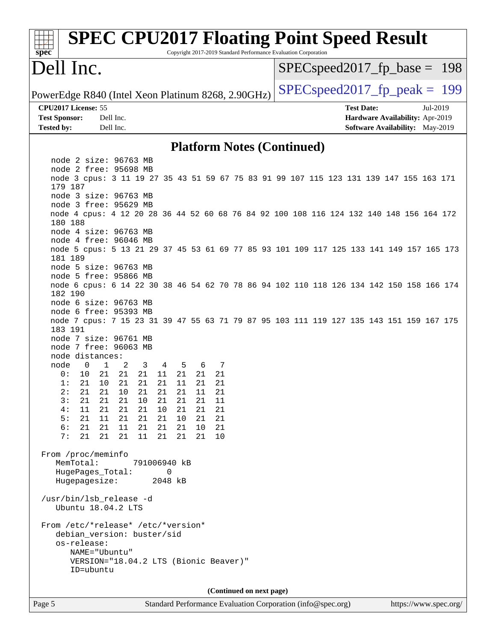| <b>SPEC CPU2017 Floating Point Speed Result</b><br>Copyright 2017-2019 Standard Performance Evaluation Corporation<br>spec <sup>®</sup>                                                                               |                                                                                                            |
|-----------------------------------------------------------------------------------------------------------------------------------------------------------------------------------------------------------------------|------------------------------------------------------------------------------------------------------------|
| Dell Inc.                                                                                                                                                                                                             | $SPEC speed2017_f p\_base = 198$                                                                           |
| PowerEdge R840 (Intel Xeon Platinum 8268, 2.90GHz)                                                                                                                                                                    | $SPEC speed2017_fp\_peak = 199$                                                                            |
| CPU2017 License: 55<br><b>Test Sponsor:</b><br>Dell Inc.<br>Dell Inc.<br><b>Tested by:</b>                                                                                                                            | <b>Test Date:</b><br>Jul-2019<br>Hardware Availability: Apr-2019<br><b>Software Availability:</b> May-2019 |
| <b>Platform Notes (Continued)</b>                                                                                                                                                                                     |                                                                                                            |
| node 2 size: 96763 MB                                                                                                                                                                                                 |                                                                                                            |
| node 2 free: 95698 MB<br>node 3 cpus: 3 11 19 27 35 43 51 59 67 75 83 91 99 107 115 123 131 139 147 155 163 171<br>179 187<br>node 3 size: 96763 MB                                                                   |                                                                                                            |
| node 3 free: 95629 MB<br>node 4 cpus: 4 12 20 28 36 44 52 60 68 76 84 92 100 108 116 124 132 140 148 156 164 172<br>180 188                                                                                           |                                                                                                            |
| node 4 size: 96763 MB<br>node 4 free: 96046 MB<br>node 5 cpus: 5 13 21 29 37 45 53 61 69 77 85 93 101 109 117 125 133 141 149 157 165 173<br>181 189                                                                  |                                                                                                            |
| node 5 size: 96763 MB<br>node 5 free: 95866 MB<br>node 6 cpus: 6 14 22 30 38 46 54 62 70 78 86 94 102 110 118 126 134 142 150 158 166 174<br>182 190                                                                  |                                                                                                            |
| node 6 size: 96763 MB<br>node 6 free: 95393 MB<br>node 7 cpus: 7 15 23 31 39 47 55 63 71 79 87 95 103 111 119 127 135 143 151 159 167 175<br>183 191                                                                  |                                                                                                            |
| node 7 size: 96761 MB<br>node 7 free: 96063 MB<br>node distances:<br>$\mathbf{1}$<br>2<br>node<br>0<br>3<br>4 5<br>7<br>6                                                                                             |                                                                                                            |
| 0:<br>10<br>21<br>21<br>21<br>11<br>21<br>21<br>21<br>21<br>21<br>21<br>10<br>21<br>11<br>21<br>21<br>1:<br>21  21<br>10 21<br>21<br>21<br>2:<br>11<br>21<br>3:<br>21<br>21<br>21<br>21<br>10<br>21<br>21<br>11       |                                                                                                            |
| 4:<br>11<br>21<br>21<br>21<br>10<br>21<br>21<br>21<br>5 :<br>21<br>11<br>21<br>21<br>21<br>10<br>21<br>21<br>6:<br>21<br>21<br>11<br>21<br>21<br>21<br>10<br>21<br>7:<br>21<br>10<br>21<br>21<br>11<br>21<br>21<br>21 |                                                                                                            |
| From /proc/meminfo<br>MemTotal:<br>791006940 kB<br>HugePages_Total:<br>0                                                                                                                                              |                                                                                                            |
| Hugepagesize:<br>2048 kB                                                                                                                                                                                              |                                                                                                            |
| /usr/bin/lsb_release -d<br>Ubuntu 18.04.2 LTS                                                                                                                                                                         |                                                                                                            |
| From /etc/*release* /etc/*version*<br>debian_version: buster/sid<br>os-release:                                                                                                                                       |                                                                                                            |
| NAME="Ubuntu"<br>VERSION="18.04.2 LTS (Bionic Beaver)"<br>ID=ubuntu                                                                                                                                                   |                                                                                                            |
|                                                                                                                                                                                                                       |                                                                                                            |
| (Continued on next page)<br>Standard Performance Evaluation Corporation (info@spec.org)<br>Page 5                                                                                                                     | https://www.spec.org/                                                                                      |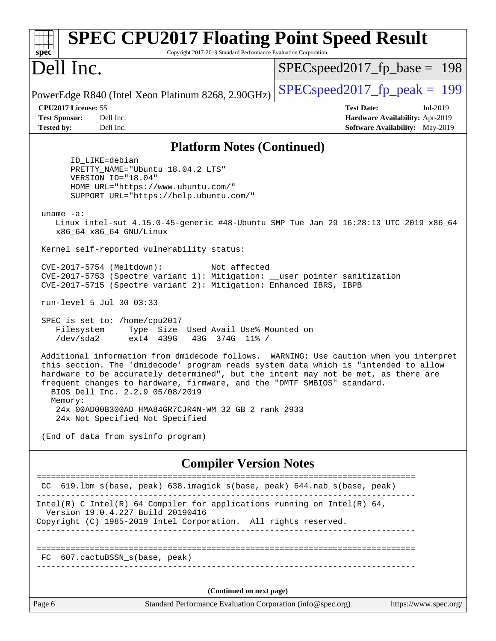| <b>SPEC CPU2017 Floating Point Speed Result</b><br>Copyright 2017-2019 Standard Performance Evaluation Corporation<br>spec <sup>®</sup>                                                                                                                                                                                                                                           |                                                                                                            |
|-----------------------------------------------------------------------------------------------------------------------------------------------------------------------------------------------------------------------------------------------------------------------------------------------------------------------------------------------------------------------------------|------------------------------------------------------------------------------------------------------------|
| Dell Inc.                                                                                                                                                                                                                                                                                                                                                                         | $SPEC speed2017_fp\_base = 198$                                                                            |
| PowerEdge R840 (Intel Xeon Platinum 8268, 2.90GHz)                                                                                                                                                                                                                                                                                                                                | $SPEC speed2017_fp\_peak = 199$                                                                            |
| CPU2017 License: 55<br><b>Test Sponsor:</b><br>Dell Inc.<br><b>Tested by:</b><br>Dell Inc.                                                                                                                                                                                                                                                                                        | <b>Test Date:</b><br>Jul-2019<br>Hardware Availability: Apr-2019<br><b>Software Availability:</b> May-2019 |
| <b>Platform Notes (Continued)</b>                                                                                                                                                                                                                                                                                                                                                 |                                                                                                            |
| ID_LIKE=debian<br>PRETTY_NAME="Ubuntu 18.04.2 LTS"<br>VERSION_ID="18.04"<br>HOME_URL="https://www.ubuntu.com/"<br>SUPPORT_URL="https://help.ubuntu.com/"<br>uname $-a$ :                                                                                                                                                                                                          |                                                                                                            |
| Linux intel-sut 4.15.0-45-generic #48-Ubuntu SMP Tue Jan 29 16:28:13 UTC 2019 x86_64<br>x86_64 x86_64 GNU/Linux                                                                                                                                                                                                                                                                   |                                                                                                            |
| Kernel self-reported vulnerability status:                                                                                                                                                                                                                                                                                                                                        |                                                                                                            |
| CVE-2017-5754 (Meltdown):<br>Not affected<br>CVE-2017-5753 (Spectre variant 1): Mitigation: __user pointer sanitization<br>CVE-2017-5715 (Spectre variant 2): Mitigation: Enhanced IBRS, IBPB                                                                                                                                                                                     |                                                                                                            |
| run-level 5 Jul 30 03:33                                                                                                                                                                                                                                                                                                                                                          |                                                                                                            |
| SPEC is set to: /home/cpu2017<br>Type Size Used Avail Use% Mounted on<br>Filesystem<br>/dev/sda2<br>ext4 439G<br>43G 374G 11% /                                                                                                                                                                                                                                                   |                                                                                                            |
| Additional information from dmidecode follows. WARNING: Use caution when you interpret<br>this section. The 'dmidecode' program reads system data which is "intended to allow<br>hardware to be accurately determined", but the intent may not be met, as there are<br>frequent changes to hardware, firmware, and the "DMTF SMBIOS" standard.<br>BIOS Dell Inc. 2.2.9 05/08/2019 |                                                                                                            |
| Memory:<br>24x 00AD00B300AD HMA84GR7CJR4N-WM 32 GB 2 rank 2933<br>24x Not Specified Not Specified                                                                                                                                                                                                                                                                                 |                                                                                                            |
| (End of data from sysinfo program)                                                                                                                                                                                                                                                                                                                                                |                                                                                                            |
| <b>Compiler Version Notes</b>                                                                                                                                                                                                                                                                                                                                                     |                                                                                                            |
| CC 619.1bm_s(base, peak) 638.imagick_s(base, peak) 644.nab_s(base, peak)                                                                                                                                                                                                                                                                                                          |                                                                                                            |
| Intel(R) C Intel(R) 64 Compiler for applications running on Intel(R) 64,<br>Version 19.0.4.227 Build 20190416<br>Copyright (C) 1985-2019 Intel Corporation. All rights reserved.                                                                                                                                                                                                  |                                                                                                            |
| FC 607.cactuBSSN_s(base, peak)                                                                                                                                                                                                                                                                                                                                                    |                                                                                                            |
| (Continued on next page)                                                                                                                                                                                                                                                                                                                                                          |                                                                                                            |
| Standard Performance Evaluation Corporation (info@spec.org)<br>Page 6                                                                                                                                                                                                                                                                                                             | https://www.spec.org/                                                                                      |
|                                                                                                                                                                                                                                                                                                                                                                                   |                                                                                                            |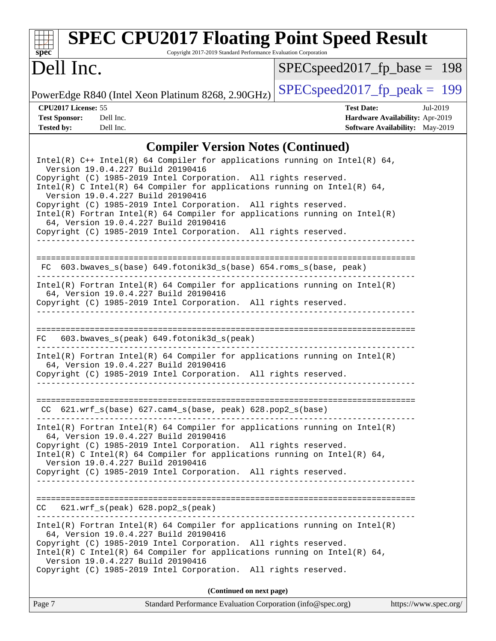| s<br>nec |  |  |  |  |  |
|----------|--|--|--|--|--|

# **[SPEC CPU2017 Floating Point Speed Result](http://www.spec.org/auto/cpu2017/Docs/result-fields.html#SPECCPU2017FloatingPointSpeedResult)**

Copyright 2017-2019 Standard Performance Evaluation Corporation

## Dell Inc.

[SPECspeed2017\\_fp\\_base =](http://www.spec.org/auto/cpu2017/Docs/result-fields.html#SPECspeed2017fpbase) 198

PowerEdge R840 (Intel Xeon Platinum 8268, 2.90GHz)  $\left|$  [SPECspeed2017\\_fp\\_peak =](http://www.spec.org/auto/cpu2017/Docs/result-fields.html#SPECspeed2017fppeak) 199

**[CPU2017 License:](http://www.spec.org/auto/cpu2017/Docs/result-fields.html#CPU2017License)** 55 **[Test Date:](http://www.spec.org/auto/cpu2017/Docs/result-fields.html#TestDate)** Jul-2019 **[Test Sponsor:](http://www.spec.org/auto/cpu2017/Docs/result-fields.html#TestSponsor)** Dell Inc. **[Hardware Availability:](http://www.spec.org/auto/cpu2017/Docs/result-fields.html#HardwareAvailability)** Apr-2019 **[Tested by:](http://www.spec.org/auto/cpu2017/Docs/result-fields.html#Testedby)** Dell Inc. **[Software Availability:](http://www.spec.org/auto/cpu2017/Docs/result-fields.html#SoftwareAvailability)** May-2019

#### **[Compiler Version Notes \(Continued\)](http://www.spec.org/auto/cpu2017/Docs/result-fields.html#CompilerVersionNotes)**

| Standard Performance Evaluation Corporation (info@spec.org)<br>Page 7                                                                                                                                                                                                                                                                                                        | https://www.spec.org/ |
|------------------------------------------------------------------------------------------------------------------------------------------------------------------------------------------------------------------------------------------------------------------------------------------------------------------------------------------------------------------------------|-----------------------|
| (Continued on next page)                                                                                                                                                                                                                                                                                                                                                     |                       |
| $Intel(R)$ Fortran Intel(R) 64 Compiler for applications running on Intel(R)<br>64, Version 19.0.4.227 Build 20190416<br>Copyright (C) 1985-2019 Intel Corporation. All rights reserved.<br>Intel(R) C Intel(R) 64 Compiler for applications running on Intel(R) 64,<br>Version 19.0.4.227 Build 20190416<br>Copyright (C) 1985-2019 Intel Corporation. All rights reserved. |                       |
| $CC$ 621.wrf_s(peak) 628.pop2_s(peak)                                                                                                                                                                                                                                                                                                                                        |                       |
|                                                                                                                                                                                                                                                                                                                                                                              |                       |
| 64, Version 19.0.4.227 Build 20190416<br>Copyright (C) 1985-2019 Intel Corporation. All rights reserved.<br>Intel(R) C Intel(R) 64 Compiler for applications running on Intel(R) 64,<br>Version 19.0.4.227 Build 20190416<br>Copyright (C) 1985-2019 Intel Corporation. All rights reserved.                                                                                 |                       |
| $Intel(R)$ Fortran Intel(R) 64 Compiler for applications running on Intel(R)                                                                                                                                                                                                                                                                                                 |                       |
| $CC$ 621.wrf_s(base) 627.cam4_s(base, peak) 628.pop2_s(base)                                                                                                                                                                                                                                                                                                                 |                       |
| $Intel(R)$ Fortran Intel(R) 64 Compiler for applications running on Intel(R)<br>64, Version 19.0.4.227 Build 20190416<br>Copyright (C) 1985-2019 Intel Corporation. All rights reserved.                                                                                                                                                                                     |                       |
| 603.bwaves_s(peak) 649.fotonik3d_s(peak)<br>FC                                                                                                                                                                                                                                                                                                                               |                       |
| Copyright (C) 1985-2019 Intel Corporation. All rights reserved.                                                                                                                                                                                                                                                                                                              |                       |
| $Intel(R)$ Fortran Intel(R) 64 Compiler for applications running on Intel(R)<br>64, Version 19.0.4.227 Build 20190416                                                                                                                                                                                                                                                        |                       |
| FC 603.bwaves_s(base) 649.fotonik3d_s(base) 654.roms_s(base, peak)                                                                                                                                                                                                                                                                                                           |                       |
| Copyright (C) 1985-2019 Intel Corporation. All rights reserved.                                                                                                                                                                                                                                                                                                              |                       |
| Copyright (C) 1985-2019 Intel Corporation. All rights reserved.<br>$Intel(R)$ Fortran Intel(R) 64 Compiler for applications running on Intel(R)<br>64, Version 19.0.4.227 Build 20190416                                                                                                                                                                                     |                       |
| Copyright (C) 1985-2019 Intel Corporation. All rights reserved.<br>Intel(R) C Intel(R) 64 Compiler for applications running on Intel(R) 64,<br>Version 19.0.4.227 Build 20190416                                                                                                                                                                                             |                       |
| Intel(R) $C++$ Intel(R) 64 Compiler for applications running on Intel(R) 64,<br>Version 19.0.4.227 Build 20190416                                                                                                                                                                                                                                                            |                       |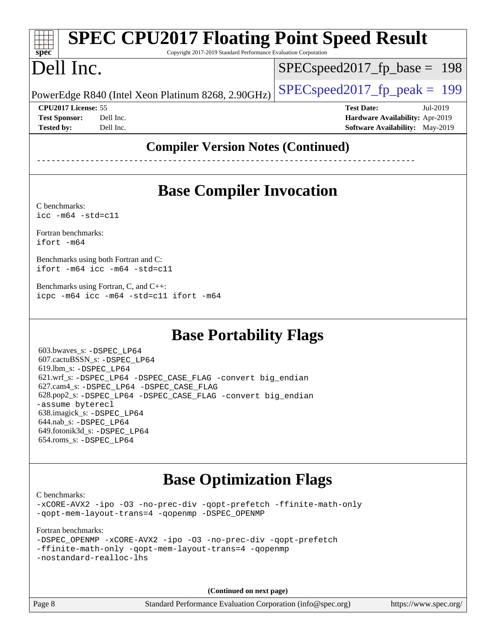| <b>SPEC CPU2017 Floating Point Speed Result</b><br>Copyright 2017-2019 Standard Performance Evaluation Corporation<br>$spec^*$ |                                                    |                                        |          |  |  |  |  |  |
|--------------------------------------------------------------------------------------------------------------------------------|----------------------------------------------------|----------------------------------------|----------|--|--|--|--|--|
| Dell Inc.                                                                                                                      |                                                    | $SPEC speed2017_f p\_base = 198$       |          |  |  |  |  |  |
|                                                                                                                                | PowerEdge R840 (Intel Xeon Platinum 8268, 2.90GHz) | $SPEC speed2017_fp_peak = 199$         |          |  |  |  |  |  |
| <b>CPU2017 License: 55</b>                                                                                                     |                                                    | <b>Test Date:</b>                      | Jul-2019 |  |  |  |  |  |
| <b>Test Sponsor:</b>                                                                                                           | Dell Inc.                                          | Hardware Availability: Apr-2019        |          |  |  |  |  |  |
| <b>Tested by:</b>                                                                                                              | Dell Inc.                                          | <b>Software Availability:</b> May-2019 |          |  |  |  |  |  |
|                                                                                                                                | <b>Compiler Version Notes (Continued)</b>          |                                        |          |  |  |  |  |  |

### **[Base Compiler Invocation](http://www.spec.org/auto/cpu2017/Docs/result-fields.html#BaseCompilerInvocation)**

[C benchmarks](http://www.spec.org/auto/cpu2017/Docs/result-fields.html#Cbenchmarks): [icc -m64 -std=c11](http://www.spec.org/cpu2017/results/res2019q3/cpu2017-20190805-16492.flags.html#user_CCbase_intel_icc_64bit_c11_33ee0cdaae7deeeab2a9725423ba97205ce30f63b9926c2519791662299b76a0318f32ddfffdc46587804de3178b4f9328c46fa7c2b0cd779d7a61945c91cd35)

[Fortran benchmarks](http://www.spec.org/auto/cpu2017/Docs/result-fields.html#Fortranbenchmarks): [ifort -m64](http://www.spec.org/cpu2017/results/res2019q3/cpu2017-20190805-16492.flags.html#user_FCbase_intel_ifort_64bit_24f2bb282fbaeffd6157abe4f878425411749daecae9a33200eee2bee2fe76f3b89351d69a8130dd5949958ce389cf37ff59a95e7a40d588e8d3a57e0c3fd751)

[Benchmarks using both Fortran and C](http://www.spec.org/auto/cpu2017/Docs/result-fields.html#BenchmarksusingbothFortranandC): [ifort -m64](http://www.spec.org/cpu2017/results/res2019q3/cpu2017-20190805-16492.flags.html#user_CC_FCbase_intel_ifort_64bit_24f2bb282fbaeffd6157abe4f878425411749daecae9a33200eee2bee2fe76f3b89351d69a8130dd5949958ce389cf37ff59a95e7a40d588e8d3a57e0c3fd751) [icc -m64 -std=c11](http://www.spec.org/cpu2017/results/res2019q3/cpu2017-20190805-16492.flags.html#user_CC_FCbase_intel_icc_64bit_c11_33ee0cdaae7deeeab2a9725423ba97205ce30f63b9926c2519791662299b76a0318f32ddfffdc46587804de3178b4f9328c46fa7c2b0cd779d7a61945c91cd35)

[Benchmarks using Fortran, C, and C++:](http://www.spec.org/auto/cpu2017/Docs/result-fields.html#BenchmarksusingFortranCandCXX) [icpc -m64](http://www.spec.org/cpu2017/results/res2019q3/cpu2017-20190805-16492.flags.html#user_CC_CXX_FCbase_intel_icpc_64bit_4ecb2543ae3f1412ef961e0650ca070fec7b7afdcd6ed48761b84423119d1bf6bdf5cad15b44d48e7256388bc77273b966e5eb805aefd121eb22e9299b2ec9d9) [icc -m64 -std=c11](http://www.spec.org/cpu2017/results/res2019q3/cpu2017-20190805-16492.flags.html#user_CC_CXX_FCbase_intel_icc_64bit_c11_33ee0cdaae7deeeab2a9725423ba97205ce30f63b9926c2519791662299b76a0318f32ddfffdc46587804de3178b4f9328c46fa7c2b0cd779d7a61945c91cd35) [ifort -m64](http://www.spec.org/cpu2017/results/res2019q3/cpu2017-20190805-16492.flags.html#user_CC_CXX_FCbase_intel_ifort_64bit_24f2bb282fbaeffd6157abe4f878425411749daecae9a33200eee2bee2fe76f3b89351d69a8130dd5949958ce389cf37ff59a95e7a40d588e8d3a57e0c3fd751)

#### **[Base Portability Flags](http://www.spec.org/auto/cpu2017/Docs/result-fields.html#BasePortabilityFlags)**

 603.bwaves\_s: [-DSPEC\\_LP64](http://www.spec.org/cpu2017/results/res2019q3/cpu2017-20190805-16492.flags.html#suite_basePORTABILITY603_bwaves_s_DSPEC_LP64) 607.cactuBSSN\_s: [-DSPEC\\_LP64](http://www.spec.org/cpu2017/results/res2019q3/cpu2017-20190805-16492.flags.html#suite_basePORTABILITY607_cactuBSSN_s_DSPEC_LP64) 619.lbm\_s: [-DSPEC\\_LP64](http://www.spec.org/cpu2017/results/res2019q3/cpu2017-20190805-16492.flags.html#suite_basePORTABILITY619_lbm_s_DSPEC_LP64) 621.wrf\_s: [-DSPEC\\_LP64](http://www.spec.org/cpu2017/results/res2019q3/cpu2017-20190805-16492.flags.html#suite_basePORTABILITY621_wrf_s_DSPEC_LP64) [-DSPEC\\_CASE\\_FLAG](http://www.spec.org/cpu2017/results/res2019q3/cpu2017-20190805-16492.flags.html#b621.wrf_s_baseCPORTABILITY_DSPEC_CASE_FLAG) [-convert big\\_endian](http://www.spec.org/cpu2017/results/res2019q3/cpu2017-20190805-16492.flags.html#user_baseFPORTABILITY621_wrf_s_convert_big_endian_c3194028bc08c63ac5d04de18c48ce6d347e4e562e8892b8bdbdc0214820426deb8554edfa529a3fb25a586e65a3d812c835984020483e7e73212c4d31a38223) 627.cam4\_s: [-DSPEC\\_LP64](http://www.spec.org/cpu2017/results/res2019q3/cpu2017-20190805-16492.flags.html#suite_basePORTABILITY627_cam4_s_DSPEC_LP64) [-DSPEC\\_CASE\\_FLAG](http://www.spec.org/cpu2017/results/res2019q3/cpu2017-20190805-16492.flags.html#b627.cam4_s_baseCPORTABILITY_DSPEC_CASE_FLAG) 628.pop2\_s: [-DSPEC\\_LP64](http://www.spec.org/cpu2017/results/res2019q3/cpu2017-20190805-16492.flags.html#suite_basePORTABILITY628_pop2_s_DSPEC_LP64) [-DSPEC\\_CASE\\_FLAG](http://www.spec.org/cpu2017/results/res2019q3/cpu2017-20190805-16492.flags.html#b628.pop2_s_baseCPORTABILITY_DSPEC_CASE_FLAG) [-convert big\\_endian](http://www.spec.org/cpu2017/results/res2019q3/cpu2017-20190805-16492.flags.html#user_baseFPORTABILITY628_pop2_s_convert_big_endian_c3194028bc08c63ac5d04de18c48ce6d347e4e562e8892b8bdbdc0214820426deb8554edfa529a3fb25a586e65a3d812c835984020483e7e73212c4d31a38223) [-assume byterecl](http://www.spec.org/cpu2017/results/res2019q3/cpu2017-20190805-16492.flags.html#user_baseFPORTABILITY628_pop2_s_assume_byterecl_7e47d18b9513cf18525430bbf0f2177aa9bf368bc7a059c09b2c06a34b53bd3447c950d3f8d6c70e3faf3a05c8557d66a5798b567902e8849adc142926523472) 638.imagick\_s: [-DSPEC\\_LP64](http://www.spec.org/cpu2017/results/res2019q3/cpu2017-20190805-16492.flags.html#suite_basePORTABILITY638_imagick_s_DSPEC_LP64) 644.nab\_s: [-DSPEC\\_LP64](http://www.spec.org/cpu2017/results/res2019q3/cpu2017-20190805-16492.flags.html#suite_basePORTABILITY644_nab_s_DSPEC_LP64) 649.fotonik3d\_s: [-DSPEC\\_LP64](http://www.spec.org/cpu2017/results/res2019q3/cpu2017-20190805-16492.flags.html#suite_basePORTABILITY649_fotonik3d_s_DSPEC_LP64) 654.roms\_s: [-DSPEC\\_LP64](http://www.spec.org/cpu2017/results/res2019q3/cpu2017-20190805-16492.flags.html#suite_basePORTABILITY654_roms_s_DSPEC_LP64)

#### **[Base Optimization Flags](http://www.spec.org/auto/cpu2017/Docs/result-fields.html#BaseOptimizationFlags)**

[C benchmarks](http://www.spec.org/auto/cpu2017/Docs/result-fields.html#Cbenchmarks): [-xCORE-AVX2](http://www.spec.org/cpu2017/results/res2019q3/cpu2017-20190805-16492.flags.html#user_CCbase_f-xCORE-AVX2) [-ipo](http://www.spec.org/cpu2017/results/res2019q3/cpu2017-20190805-16492.flags.html#user_CCbase_f-ipo) [-O3](http://www.spec.org/cpu2017/results/res2019q3/cpu2017-20190805-16492.flags.html#user_CCbase_f-O3) [-no-prec-div](http://www.spec.org/cpu2017/results/res2019q3/cpu2017-20190805-16492.flags.html#user_CCbase_f-no-prec-div) [-qopt-prefetch](http://www.spec.org/cpu2017/results/res2019q3/cpu2017-20190805-16492.flags.html#user_CCbase_f-qopt-prefetch) [-ffinite-math-only](http://www.spec.org/cpu2017/results/res2019q3/cpu2017-20190805-16492.flags.html#user_CCbase_f_finite_math_only_cb91587bd2077682c4b38af759c288ed7c732db004271a9512da14a4f8007909a5f1427ecbf1a0fb78ff2a814402c6114ac565ca162485bbcae155b5e4258871) [-qopt-mem-layout-trans=4](http://www.spec.org/cpu2017/results/res2019q3/cpu2017-20190805-16492.flags.html#user_CCbase_f-qopt-mem-layout-trans_fa39e755916c150a61361b7846f310bcdf6f04e385ef281cadf3647acec3f0ae266d1a1d22d972a7087a248fd4e6ca390a3634700869573d231a252c784941a8) [-qopenmp](http://www.spec.org/cpu2017/results/res2019q3/cpu2017-20190805-16492.flags.html#user_CCbase_qopenmp_16be0c44f24f464004c6784a7acb94aca937f053568ce72f94b139a11c7c168634a55f6653758ddd83bcf7b8463e8028bb0b48b77bcddc6b78d5d95bb1df2967) [-DSPEC\\_OPENMP](http://www.spec.org/cpu2017/results/res2019q3/cpu2017-20190805-16492.flags.html#suite_CCbase_DSPEC_OPENMP)

[Fortran benchmarks](http://www.spec.org/auto/cpu2017/Docs/result-fields.html#Fortranbenchmarks):

|  | -DSPEC OPENMP -xCORE-AVX2 -ipo -03 -no-prec-div -gopt-prefetch |  |  |  |
|--|----------------------------------------------------------------|--|--|--|
|  | -ffinite-math-only -qopt-mem-layout-trans=4 -qopenmp           |  |  |  |
|  | -nostandard-realloc-lhs                                        |  |  |  |

**(Continued on next page)**

Page 8 Standard Performance Evaluation Corporation [\(info@spec.org\)](mailto:info@spec.org) <https://www.spec.org/>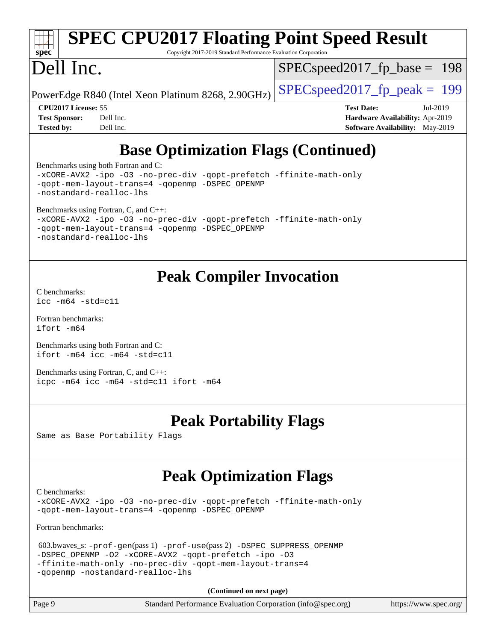| Spec                 |                     |           | <b>SPEC CPU2017 Floating Point Speed Result</b><br>Copyright 2017-2019 Standard Performance Evaluation Corporation |                                  |                                        |          |  |
|----------------------|---------------------|-----------|--------------------------------------------------------------------------------------------------------------------|----------------------------------|----------------------------------------|----------|--|
| Dell Inc.            |                     |           |                                                                                                                    | $SPEC speed2017_f p\_base = 198$ |                                        |          |  |
|                      |                     |           | PowerEdge R840 (Intel Xeon Platinum 8268, 2.90GHz)                                                                 | $SPEC speed2017_fp_peak = 199$   |                                        |          |  |
|                      | CPU2017 License: 55 |           |                                                                                                                    |                                  | <b>Test Date:</b>                      | Jul-2019 |  |
| <b>Test Sponsor:</b> |                     | Dell Inc. |                                                                                                                    |                                  | Hardware Availability: Apr-2019        |          |  |
| <b>Tested by:</b>    |                     | Dell Inc. |                                                                                                                    |                                  | <b>Software Availability:</b> May-2019 |          |  |
|                      |                     |           | <b>Base Optimization Flags (Continued)</b>                                                                         |                                  |                                        |          |  |

[Benchmarks using both Fortran and C](http://www.spec.org/auto/cpu2017/Docs/result-fields.html#BenchmarksusingbothFortranandC):

```
-xCORE-AVX2 -ipo -O3 -no-prec-div -qopt-prefetch -ffinite-math-only
-qopt-mem-layout-trans=4 -qopenmp -DSPEC_OPENMP
-nostandard-realloc-lhs
Benchmarks using Fortran, C, and C++: 
-xCORE-AVX2 -ipo -O3 -no-prec-div -qopt-prefetch -ffinite-math-only
-qopt-mem-layout-trans=4 -qopenmp -DSPEC_OPENMP
-nostandard-realloc-lhs
```
#### **[Peak Compiler Invocation](http://www.spec.org/auto/cpu2017/Docs/result-fields.html#PeakCompilerInvocation)**

[C benchmarks](http://www.spec.org/auto/cpu2017/Docs/result-fields.html#Cbenchmarks): [icc -m64 -std=c11](http://www.spec.org/cpu2017/results/res2019q3/cpu2017-20190805-16492.flags.html#user_CCpeak_intel_icc_64bit_c11_33ee0cdaae7deeeab2a9725423ba97205ce30f63b9926c2519791662299b76a0318f32ddfffdc46587804de3178b4f9328c46fa7c2b0cd779d7a61945c91cd35)

[Fortran benchmarks](http://www.spec.org/auto/cpu2017/Docs/result-fields.html#Fortranbenchmarks): [ifort -m64](http://www.spec.org/cpu2017/results/res2019q3/cpu2017-20190805-16492.flags.html#user_FCpeak_intel_ifort_64bit_24f2bb282fbaeffd6157abe4f878425411749daecae9a33200eee2bee2fe76f3b89351d69a8130dd5949958ce389cf37ff59a95e7a40d588e8d3a57e0c3fd751)

[Benchmarks using both Fortran and C](http://www.spec.org/auto/cpu2017/Docs/result-fields.html#BenchmarksusingbothFortranandC): [ifort -m64](http://www.spec.org/cpu2017/results/res2019q3/cpu2017-20190805-16492.flags.html#user_CC_FCpeak_intel_ifort_64bit_24f2bb282fbaeffd6157abe4f878425411749daecae9a33200eee2bee2fe76f3b89351d69a8130dd5949958ce389cf37ff59a95e7a40d588e8d3a57e0c3fd751) [icc -m64 -std=c11](http://www.spec.org/cpu2017/results/res2019q3/cpu2017-20190805-16492.flags.html#user_CC_FCpeak_intel_icc_64bit_c11_33ee0cdaae7deeeab2a9725423ba97205ce30f63b9926c2519791662299b76a0318f32ddfffdc46587804de3178b4f9328c46fa7c2b0cd779d7a61945c91cd35)

[Benchmarks using Fortran, C, and C++:](http://www.spec.org/auto/cpu2017/Docs/result-fields.html#BenchmarksusingFortranCandCXX) [icpc -m64](http://www.spec.org/cpu2017/results/res2019q3/cpu2017-20190805-16492.flags.html#user_CC_CXX_FCpeak_intel_icpc_64bit_4ecb2543ae3f1412ef961e0650ca070fec7b7afdcd6ed48761b84423119d1bf6bdf5cad15b44d48e7256388bc77273b966e5eb805aefd121eb22e9299b2ec9d9) [icc -m64 -std=c11](http://www.spec.org/cpu2017/results/res2019q3/cpu2017-20190805-16492.flags.html#user_CC_CXX_FCpeak_intel_icc_64bit_c11_33ee0cdaae7deeeab2a9725423ba97205ce30f63b9926c2519791662299b76a0318f32ddfffdc46587804de3178b4f9328c46fa7c2b0cd779d7a61945c91cd35) [ifort -m64](http://www.spec.org/cpu2017/results/res2019q3/cpu2017-20190805-16492.flags.html#user_CC_CXX_FCpeak_intel_ifort_64bit_24f2bb282fbaeffd6157abe4f878425411749daecae9a33200eee2bee2fe76f3b89351d69a8130dd5949958ce389cf37ff59a95e7a40d588e8d3a57e0c3fd751)

#### **[Peak Portability Flags](http://www.spec.org/auto/cpu2017/Docs/result-fields.html#PeakPortabilityFlags)**

Same as Base Portability Flags

#### **[Peak Optimization Flags](http://www.spec.org/auto/cpu2017/Docs/result-fields.html#PeakOptimizationFlags)**

[C benchmarks](http://www.spec.org/auto/cpu2017/Docs/result-fields.html#Cbenchmarks):

[-xCORE-AVX2](http://www.spec.org/cpu2017/results/res2019q3/cpu2017-20190805-16492.flags.html#user_CCpeak_f-xCORE-AVX2) [-ipo](http://www.spec.org/cpu2017/results/res2019q3/cpu2017-20190805-16492.flags.html#user_CCpeak_f-ipo) [-O3](http://www.spec.org/cpu2017/results/res2019q3/cpu2017-20190805-16492.flags.html#user_CCpeak_f-O3) [-no-prec-div](http://www.spec.org/cpu2017/results/res2019q3/cpu2017-20190805-16492.flags.html#user_CCpeak_f-no-prec-div) [-qopt-prefetch](http://www.spec.org/cpu2017/results/res2019q3/cpu2017-20190805-16492.flags.html#user_CCpeak_f-qopt-prefetch) [-ffinite-math-only](http://www.spec.org/cpu2017/results/res2019q3/cpu2017-20190805-16492.flags.html#user_CCpeak_f_finite_math_only_cb91587bd2077682c4b38af759c288ed7c732db004271a9512da14a4f8007909a5f1427ecbf1a0fb78ff2a814402c6114ac565ca162485bbcae155b5e4258871) [-qopt-mem-layout-trans=4](http://www.spec.org/cpu2017/results/res2019q3/cpu2017-20190805-16492.flags.html#user_CCpeak_f-qopt-mem-layout-trans_fa39e755916c150a61361b7846f310bcdf6f04e385ef281cadf3647acec3f0ae266d1a1d22d972a7087a248fd4e6ca390a3634700869573d231a252c784941a8) [-qopenmp](http://www.spec.org/cpu2017/results/res2019q3/cpu2017-20190805-16492.flags.html#user_CCpeak_qopenmp_16be0c44f24f464004c6784a7acb94aca937f053568ce72f94b139a11c7c168634a55f6653758ddd83bcf7b8463e8028bb0b48b77bcddc6b78d5d95bb1df2967) [-DSPEC\\_OPENMP](http://www.spec.org/cpu2017/results/res2019q3/cpu2017-20190805-16492.flags.html#suite_CCpeak_DSPEC_OPENMP)

[Fortran benchmarks](http://www.spec.org/auto/cpu2017/Docs/result-fields.html#Fortranbenchmarks):

```
 603.bwaves_s: -prof-gen(pass 1) -prof-use(pass 2) -DSPEC_SUPPRESS_OPENMP
-DSPEC_OPENMP -O2 -xCORE-AVX2 -qopt-prefetch -ipo -O3
-ffinite-math-only -no-prec-div -qopt-mem-layout-trans=4
-qopenmp -nostandard-realloc-lhs
```
**(Continued on next page)**

| Page 9 | Standard Performance Evaluation Corporation (info@spec.org) |  | https://www.spec.org/ |
|--------|-------------------------------------------------------------|--|-----------------------|
|--------|-------------------------------------------------------------|--|-----------------------|